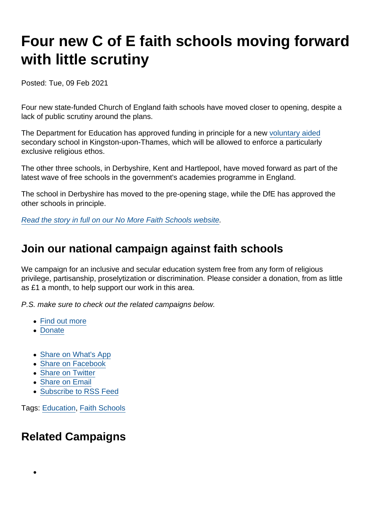# Four new C of E faith schools moving forward with little scrutiny

Posted: Tue, 09 Feb 2021

Four new state-funded Church of England faith schools have moved closer to opening, despite a lack of public scrutiny around the plans.

The Department for Education has approved funding in principle for a new [voluntary aided](https://www.secularism.org.uk/faith-schools/what-types-of-school-are-there.html) secondary school in Kingston-upon-Thames, which will be allowed to enforce a particularly exclusive religious ethos.

The other three schools, in Derbyshire, Kent and Hartlepool, have moved forward as part of the latest wave of free schools in the government's academies programme in England.

The school in Derbyshire has moved to the pre-opening stage, while the DfE has approved the other schools in principle.

[Read the story in full on our No More Faith Schools website](https://www.nomorefaithschools.org/news/2021/02/four-new-c-of-e-faith-schools-moving-forward-with-little-scrutiny).

## Join our national campaign against faith schools

We campaign for an inclusive and secular education system free from any form of religious privilege, partisanship, proselytization or discrimination. Please consider a donation, from as little as £1 a month, to help support our work in this area.

P.S. make sure to check out the related campaigns below.

- [Find out more](https://www.secularism.org.uk/faith-schools/)
- [Donate](https://www.secularism.org.uk/donate.html)
- [Share on What's App](whatsapp://send?text=http://www.secularism.org.uk/news/2021/02/four-new-c-of-e-faith-schools-moving-forward-with-little-scrutiny1?format=pdf)
- [Share on Facebook](https://www.facebook.com/sharer/sharer.php?u=http://www.secularism.org.uk/news/2021/02/four-new-c-of-e-faith-schools-moving-forward-with-little-scrutiny1?format=pdf&t=Four+new+C+of+E+faith+schools+moving+forward+with+little+scrutiny)
- [Share on Twitter](https://twitter.com/intent/tweet?url=http://www.secularism.org.uk/news/2021/02/four-new-c-of-e-faith-schools-moving-forward-with-little-scrutiny1?format=pdf&text=Four+new+C+of+E+faith+schools+moving+forward+with+little+scrutiny&via=NatSecSoc)
- [Share on Email](https://www.secularism.org.uk/share.html?url=http://www.secularism.org.uk/news/2021/02/four-new-c-of-e-faith-schools-moving-forward-with-little-scrutiny1?format=pdf&title=Four+new+C+of+E+faith+schools+moving+forward+with+little+scrutiny)
- [Subscribe to RSS Feed](/mnt/web-data/www/cp-nss/feeds/rss/news)

Tags: [Education,](https://www.secularism.org.uk/news/tags/Education) [Faith Schools](https://www.secularism.org.uk/news/tags/Faith+Schools)

# Related Campaigns